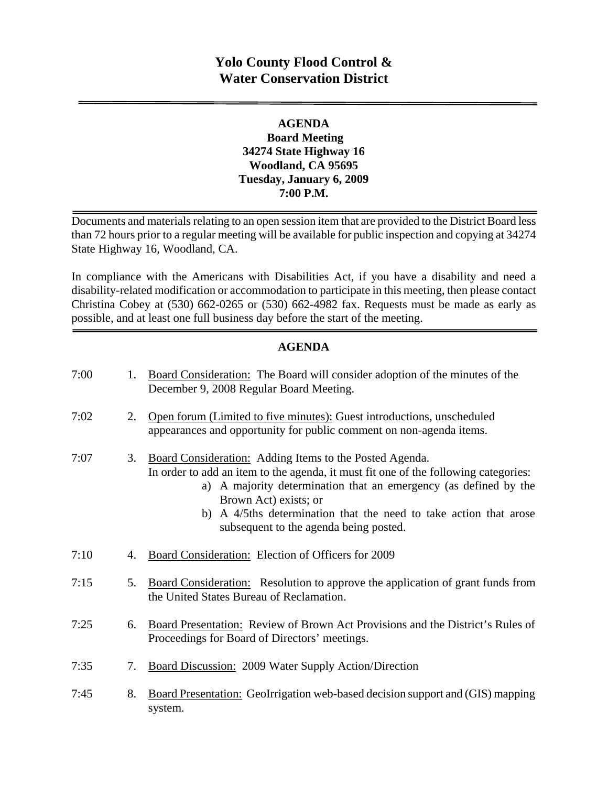# **Yolo County Flood Control & Water Conservation District**

## **AGENDA Board Meeting 34274 State Highway 16 Woodland, CA 95695 Tuesday, January 6, 2009 7:00 P.M.**

Documents and materials relating to an open session item that are provided to the District Board less than 72 hours prior to a regular meeting will be available for public inspection and copying at 34274 State Highway 16, Woodland, CA.

In compliance with the Americans with Disabilities Act, if you have a disability and need a disability-related modification or accommodation to participate in this meeting, then please contact Christina Cobey at (530) 662-0265 or (530) 662-4982 fax. Requests must be made as early as possible, and at least one full business day before the start of the meeting.

### **AGENDA**

| 7:00 | 1. | Board Consideration: The Board will consider adoption of the minutes of the<br>December 9, 2008 Regular Board Meeting.                                                                                                                                                                                                                                        |
|------|----|---------------------------------------------------------------------------------------------------------------------------------------------------------------------------------------------------------------------------------------------------------------------------------------------------------------------------------------------------------------|
| 7:02 | 2. | Open forum (Limited to five minutes): Guest introductions, unscheduled<br>appearances and opportunity for public comment on non-agenda items.                                                                                                                                                                                                                 |
| 7:07 | 3. | Board Consideration: Adding Items to the Posted Agenda.<br>In order to add an item to the agenda, it must fit one of the following categories:<br>a) A majority determination that an emergency (as defined by the<br>Brown Act) exists; or<br>A 4/5ths determination that the need to take action that arose<br>b)<br>subsequent to the agenda being posted. |
| 7:10 | 4. | Board Consideration: Election of Officers for 2009                                                                                                                                                                                                                                                                                                            |
| 7:15 | 5. | <b>Board Consideration:</b> Resolution to approve the application of grant funds from<br>the United States Bureau of Reclamation.                                                                                                                                                                                                                             |
| 7:25 | 6. | Board Presentation: Review of Brown Act Provisions and the District's Rules of<br>Proceedings for Board of Directors' meetings.                                                                                                                                                                                                                               |
| 7:35 | 7. | Board Discussion: 2009 Water Supply Action/Direction                                                                                                                                                                                                                                                                                                          |
| 7:45 | 8. | <b>Board Presentation:</b> GeoIrrigation web-based decision support and (GIS) mapping<br>system.                                                                                                                                                                                                                                                              |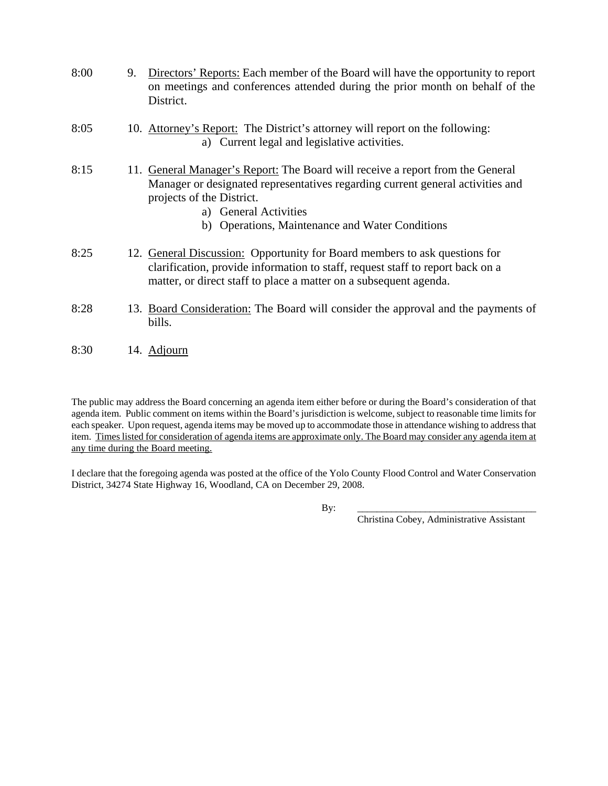| 8:00 | 9. | Directors' Reports: Each member of the Board will have the opportunity to report<br>on meetings and conferences attended during the prior month on behalf of the<br>District.                                                                                             |
|------|----|---------------------------------------------------------------------------------------------------------------------------------------------------------------------------------------------------------------------------------------------------------------------------|
| 8:05 |    | 10. Attorney's Report: The District's attorney will report on the following:<br>a) Current legal and legislative activities.                                                                                                                                              |
| 8:15 |    | 11. General Manager's Report: The Board will receive a report from the General<br>Manager or designated representatives regarding current general activities and<br>projects of the District.<br>a) General Activities<br>b) Operations, Maintenance and Water Conditions |
| 8:25 |    | 12. General Discussion: Opportunity for Board members to ask questions for<br>clarification, provide information to staff, request staff to report back on a<br>matter, or direct staff to place a matter on a subsequent agenda.                                         |
| 8:28 |    | 13. Board Consideration: The Board will consider the approval and the payments of<br>bills.                                                                                                                                                                               |

8:30 14. Adjourn

The public may address the Board concerning an agenda item either before or during the Board's consideration of that agenda item. Public comment on items within the Board's jurisdiction is welcome, subject to reasonable time limits for each speaker. Upon request, agenda items may be moved up to accommodate those in attendance wishing to address that item. Times listed for consideration of agenda items are approximate only. The Board may consider any agenda item at any time during the Board meeting.

I declare that the foregoing agenda was posted at the office of the Yolo County Flood Control and Water Conservation District, 34274 State Highway 16, Woodland, CA on December 29, 2008.

By: \_\_\_\_\_\_\_\_\_\_\_\_\_\_\_\_\_\_\_\_\_\_\_\_\_\_\_\_\_\_\_\_\_\_\_\_\_

Christina Cobey, Administrative Assistant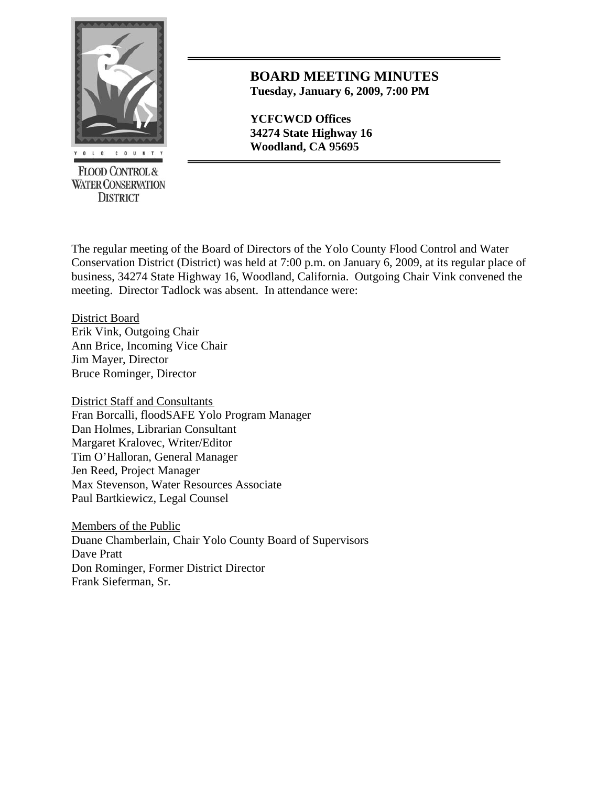

**FLOOD CONTROL & WATER CONSERVATION DISTRICT** 

# **BOARD MEETING MINUTES Tuesday, January 6, 2009, 7:00 PM**

**YCFCWCD Offices 34274 State Highway 16**  *BLOGGUNTY* **Woodland, CA 95695** 

The regular meeting of the Board of Directors of the Yolo County Flood Control and Water Conservation District (District) was held at 7:00 p.m. on January 6, 2009, at its regular place of business, 34274 State Highway 16, Woodland, California. Outgoing Chair Vink convened the meeting. Director Tadlock was absent. In attendance were:

District Board Erik Vink, Outgoing Chair Ann Brice, Incoming Vice Chair Jim Mayer, Director Bruce Rominger, Director

District Staff and Consultants Fran Borcalli, floodSAFE Yolo Program Manager Dan Holmes, Librarian Consultant Margaret Kralovec, Writer/Editor Tim O'Halloran, General Manager Jen Reed, Project Manager Max Stevenson, Water Resources Associate Paul Bartkiewicz, Legal Counsel

Members of the Public Duane Chamberlain, Chair Yolo County Board of Supervisors Dave Pratt Don Rominger, Former District Director Frank Sieferman, Sr.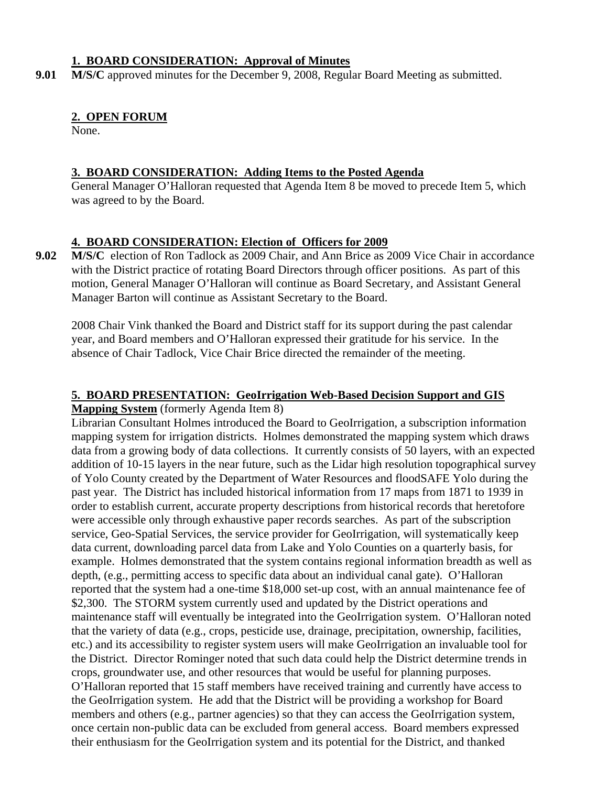#### **1. BOARD CONSIDERATION: Approval of Minutes**

**9.01 M/S/C** approved minutes for the December 9, 2008, Regular Board Meeting as submitted.

# **2. OPEN FORUM**

None.

## **3. BOARD CONSIDERATION: Adding Items to the Posted Agenda**

General Manager O'Halloran requested that Agenda Item 8 be moved to precede Item 5, which was agreed to by the Board.

# **4. BOARD CONSIDERATION: Election of Officers for 2009**

**9.02 M/S/C** election of Ron Tadlock as 2009 Chair, and Ann Brice as 2009 Vice Chair in accordance with the District practice of rotating Board Directors through officer positions. As part of this motion, General Manager O'Halloran will continue as Board Secretary, and Assistant General Manager Barton will continue as Assistant Secretary to the Board.

2008 Chair Vink thanked the Board and District staff for its support during the past calendar year, and Board members and O'Halloran expressed their gratitude for his service. In the absence of Chair Tadlock, Vice Chair Brice directed the remainder of the meeting.

# **5. BOARD PRESENTATION: GeoIrrigation Web-Based Decision Support and GIS**

**Mapping System** (formerly Agenda Item 8)

Librarian Consultant Holmes introduced the Board to GeoIrrigation, a subscription information mapping system for irrigation districts. Holmes demonstrated the mapping system which draws data from a growing body of data collections. It currently consists of 50 layers, with an expected addition of 10-15 layers in the near future, such as the Lidar high resolution topographical survey of Yolo County created by the Department of Water Resources and floodSAFE Yolo during the past year. The District has included historical information from 17 maps from 1871 to 1939 in order to establish current, accurate property descriptions from historical records that heretofore were accessible only through exhaustive paper records searches. As part of the subscription service, Geo-Spatial Services, the service provider for GeoIrrigation, will systematically keep data current, downloading parcel data from Lake and Yolo Counties on a quarterly basis, for example. Holmes demonstrated that the system contains regional information breadth as well as depth, (e.g., permitting access to specific data about an individual canal gate). O'Halloran reported that the system had a one-time \$18,000 set-up cost, with an annual maintenance fee of \$2,300. The STORM system currently used and updated by the District operations and maintenance staff will eventually be integrated into the GeoIrrigation system. O'Halloran noted that the variety of data (e.g., crops, pesticide use, drainage, precipitation, ownership, facilities, etc.) and its accessibility to register system users will make GeoIrrigation an invaluable tool for the District. Director Rominger noted that such data could help the District determine trends in crops, groundwater use, and other resources that would be useful for planning purposes. O'Halloran reported that 15 staff members have received training and currently have access to the GeoIrrigation system. He add that the District will be providing a workshop for Board members and others (e.g., partner agencies) so that they can access the GeoIrrigation system, once certain non-public data can be excluded from general access. Board members expressed their enthusiasm for the GeoIrrigation system and its potential for the District, and thanked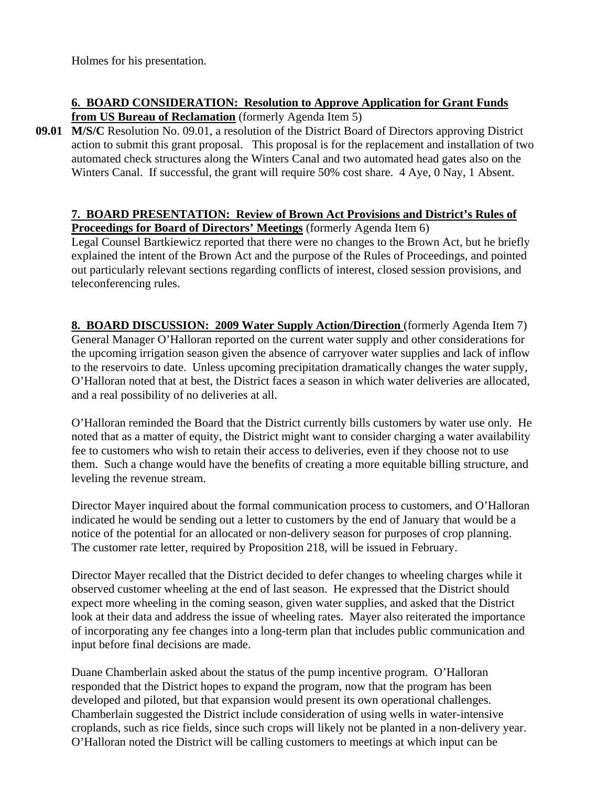Holmes for his presentation.

# **6. BOARD CONSIDERATION: Resolution to Approve Application for Grant Funds from US Bureau of Reclamation** (formerly Agenda Item 5)

**09.01 M/S/C** Resolution No. 09.01, a resolution of the District Board of Directors approving District action to submit this grant proposal. This proposal is for the replacement and installation of two automated check structures along the Winters Canal and two automated head gates also on the Winters Canal. If successful, the grant will require 50% cost share. 4 Aye, 0 Nay, 1 Absent.

#### **7. BOARD PRESENTATION: Review of Brown Act Provisions and District's Rules of Proceedings for Board of Directors' Meetings** (formerly Agenda Item 6)

Legal Counsel Bartkiewicz reported that there were no changes to the Brown Act, but he briefly explained the intent of the Brown Act and the purpose of the Rules of Proceedings, and pointed out particularly relevant sections regarding conflicts of interest, closed session provisions, and teleconferencing rules.

**8. BOARD DISCUSSION: 2009 Water Supply Action/Direction** (formerly Agenda Item 7) General Manager O'Halloran reported on the current water supply and other considerations for the upcoming irrigation season given the absence of carryover water supplies and lack of inflow to the reservoirs to date. Unless upcoming precipitation dramatically changes the water supply, O'Halloran noted that at best, the District faces a season in which water deliveries are allocated, and a real possibility of no deliveries at all.

O'Halloran reminded the Board that the District currently bills customers by water use only. He noted that as a matter of equity, the District might want to consider charging a water availability fee to customers who wish to retain their access to deliveries, even if they choose not to use them. Such a change would have the benefits of creating a more equitable billing structure, and leveling the revenue stream.

Director Mayer inquired about the formal communication process to customers, and O'Halloran indicated he would be sending out a letter to customers by the end of January that would be a notice of the potential for an allocated or non-delivery season for purposes of crop planning. The customer rate letter, required by Proposition 218, will be issued in February.

Director Mayer recalled that the District decided to defer changes to wheeling charges while it observed customer wheeling at the end of last season. He expressed that the District should expect more wheeling in the coming season, given water supplies, and asked that the District look at their data and address the issue of wheeling rates. Mayer also reiterated the importance of incorporating any fee changes into a long-term plan that includes public communication and input before final decisions are made.

Duane Chamberlain asked about the status of the pump incentive program. O'Halloran responded that the District hopes to expand the program, now that the program has been developed and piloted, but that expansion would present its own operational challenges. Chamberlain suggested the District include consideration of using wells in water-intensive croplands, such as rice fields, since such crops will likely not be planted in a non-delivery year. O'Halloran noted the District will be calling customers to meetings at which input can be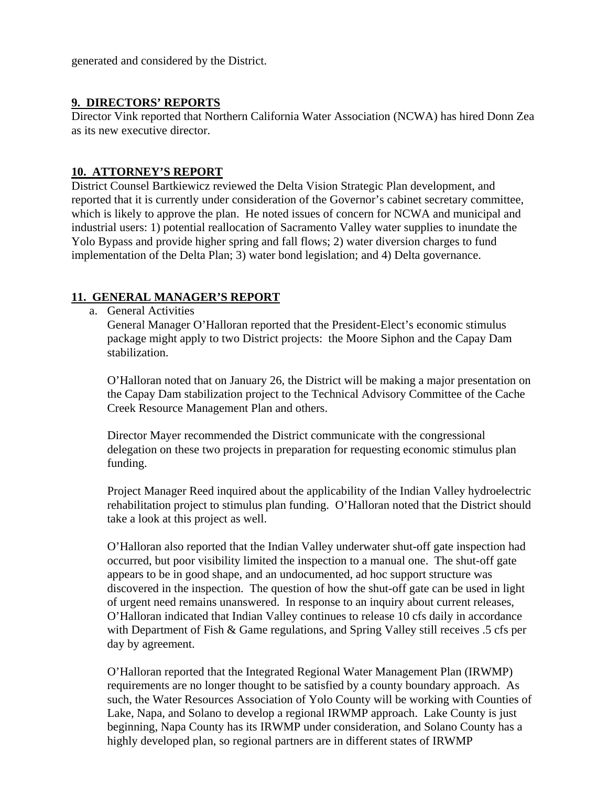generated and considered by the District.

#### **9. DIRECTORS' REPORTS**

Director Vink reported that Northern California Water Association (NCWA) has hired Donn Zea as its new executive director.

#### **10. ATTORNEY'S REPORT**

District Counsel Bartkiewicz reviewed the Delta Vision Strategic Plan development, and reported that it is currently under consideration of the Governor's cabinet secretary committee, which is likely to approve the plan. He noted issues of concern for NCWA and municipal and industrial users: 1) potential reallocation of Sacramento Valley water supplies to inundate the Yolo Bypass and provide higher spring and fall flows; 2) water diversion charges to fund implementation of the Delta Plan; 3) water bond legislation; and 4) Delta governance.

#### **11. GENERAL MANAGER'S REPORT**

a. General Activities

General Manager O'Halloran reported that the President-Elect's economic stimulus package might apply to two District projects: the Moore Siphon and the Capay Dam stabilization.

O'Halloran noted that on January 26, the District will be making a major presentation on the Capay Dam stabilization project to the Technical Advisory Committee of the Cache Creek Resource Management Plan and others.

Director Mayer recommended the District communicate with the congressional delegation on these two projects in preparation for requesting economic stimulus plan funding.

Project Manager Reed inquired about the applicability of the Indian Valley hydroelectric rehabilitation project to stimulus plan funding. O'Halloran noted that the District should take a look at this project as well.

O'Halloran also reported that the Indian Valley underwater shut-off gate inspection had occurred, but poor visibility limited the inspection to a manual one. The shut-off gate appears to be in good shape, and an undocumented, ad hoc support structure was discovered in the inspection. The question of how the shut-off gate can be used in light of urgent need remains unanswered. In response to an inquiry about current releases, O'Halloran indicated that Indian Valley continues to release 10 cfs daily in accordance with Department of Fish & Game regulations, and Spring Valley still receives .5 cfs per day by agreement.

O'Halloran reported that the Integrated Regional Water Management Plan (IRWMP) requirements are no longer thought to be satisfied by a county boundary approach. As such, the Water Resources Association of Yolo County will be working with Counties of Lake, Napa, and Solano to develop a regional IRWMP approach. Lake County is just beginning, Napa County has its IRWMP under consideration, and Solano County has a highly developed plan, so regional partners are in different states of IRWMP